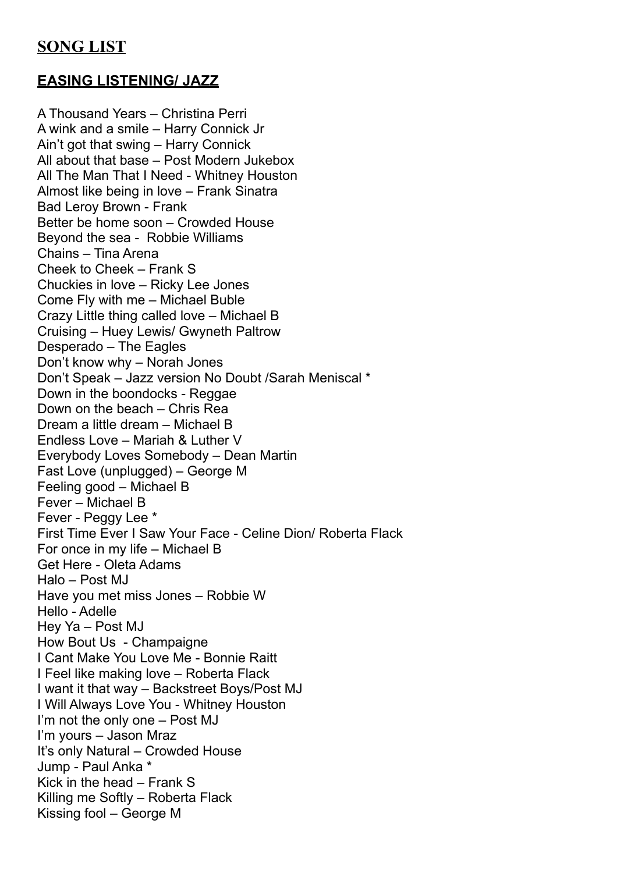# **EASING LISTENING/ JAZZ**

A Thousand Years – Christina Perri A wink and a smile – Harry Connick Jr Ain't got that swing – Harry Connick All about that base – Post Modern Jukebox All The Man That I Need - Whitney Houston Almost like being in love – Frank Sinatra Bad Leroy Brown - Frank Better be home soon – Crowded House Beyond the sea - Robbie Williams Chains – Tina Arena Cheek to Cheek – Frank S Chuckies in love – Ricky Lee Jones Come Fly with me – Michael Buble Crazy Little thing called love – Michael B Cruising – Huey Lewis/ Gwyneth Paltrow Desperado – The Eagles Don't know why – Norah Jones Don't Speak – Jazz version No Doubt /Sarah Meniscal \* Down in the boondocks - Reggae Down on the beach – Chris Rea Dream a little dream – Michael B Endless Love – Mariah & Luther V Everybody Loves Somebody – Dean Martin Fast Love (unplugged) – George M Feeling good – Michael B Fever – Michael B Fever - Peggy Lee \* First Time Ever I Saw Your Face - Celine Dion/ Roberta Flack For once in my life – Michael B Get Here - Oleta Adams Halo – Post MJ Have you met miss Jones – Robbie W Hello - Adelle Hey Ya – Post MJ How Bout Us - Champaigne I Cant Make You Love Me - Bonnie Raitt I Feel like making love – Roberta Flack I want it that way – Backstreet Boys/Post MJ I Will Always Love You - Whitney Houston I'm not the only one – Post MJ I'm yours – Jason Mraz It's only Natural – Crowded House Jump - Paul Anka \* Kick in the head – Frank S Killing me Softly – Roberta Flack Kissing fool – George M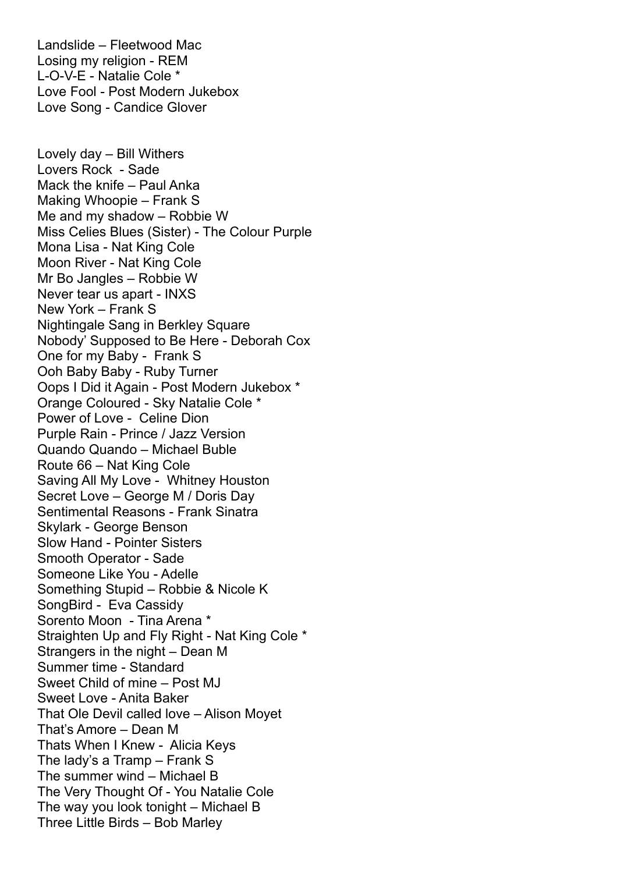Landslide – Fleetwood Mac Losing my religion - REM L-O-V-E - Natalie Cole \* Love Fool - Post Modern Jukebox Love Song - Candice Glover Lovely day – Bill Withers Lovers Rock - Sade Mack the knife – Paul Anka Making Whoopie – Frank S Me and my shadow – Robbie W Miss Celies Blues (Sister) - The Colour Purple Mona Lisa - Nat King Cole Moon River - Nat King Cole Mr Bo Jangles – Robbie W Never tear us apart - INXS New York – Frank S Nightingale Sang in Berkley Square Nobody' Supposed to Be Here - Deborah Cox One for my Baby - Frank S Ooh Baby Baby - Ruby Turner Oops I Did it Again - Post Modern Jukebox \* Orange Coloured - Sky Natalie Cole \* Power of Love - Celine Dion Purple Rain - Prince / Jazz Version Quando Quando – Michael Buble Route 66 – Nat King Cole Saving All My Love - Whitney Houston Secret Love – George M / Doris Day Sentimental Reasons - Frank Sinatra Skylark - George Benson Slow Hand - Pointer Sisters Smooth Operator - Sade Someone Like You - Adelle Something Stupid – Robbie & Nicole K SongBird - Eva Cassidy Sorento Moon - Tina Arena \* Straighten Up and Fly Right - Nat King Cole \* Strangers in the night – Dean M Summer time - Standard Sweet Child of mine – Post MJ Sweet Love - Anita Baker That Ole Devil called love – Alison Moyet That's Amore – Dean M Thats When I Knew - Alicia Keys The lady's a Tramp – Frank S The summer wind – Michael B The Very Thought Of - You Natalie Cole The way you look tonight – Michael B Three Little Birds – Bob Marley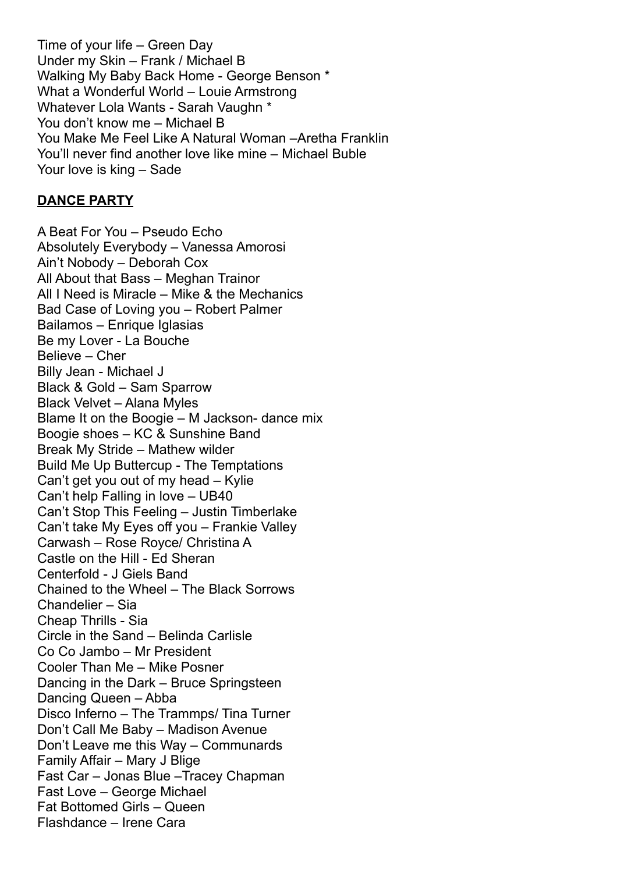Time of your life – Green Day Under my Skin – Frank / Michael B Walking My Baby Back Home - George Benson \* What a Wonderful World – Louie Armstrong Whatever Lola Wants - Sarah Vaughn \* You don't know me – Michael B You Make Me Feel Like A Natural Woman –Aretha Franklin You'll never find another love like mine – Michael Buble Your love is king – Sade

#### **DANCE PARTY**

A Beat For You – Pseudo Echo Absolutely Everybody – Vanessa Amorosi Ain't Nobody – Deborah Cox All About that Bass – Meghan Trainor All I Need is Miracle – Mike & the Mechanics Bad Case of Loving you – Robert Palmer Bailamos – Enrique Iglasias Be my Lover - La Bouche Believe – Cher Billy Jean - Michael J Black & Gold – Sam Sparrow Black Velvet – Alana Myles Blame It on the Boogie – M Jackson- dance mix Boogie shoes – KC & Sunshine Band Break My Stride – Mathew wilder Build Me Up Buttercup - The Temptations Can't get you out of my head – Kylie Can't help Falling in love – UB40 Can't Stop This Feeling – Justin Timberlake Can't take My Eyes off you – Frankie Valley Carwash – Rose Royce/ Christina A Castle on the Hill - Ed Sheran Centerfold - J Giels Band Chained to the Wheel – The Black Sorrows Chandelier – Sia Cheap Thrills - Sia Circle in the Sand – Belinda Carlisle Co Co Jambo – Mr President Cooler Than Me – Mike Posner Dancing in the Dark – Bruce Springsteen Dancing Queen – Abba Disco Inferno – The Trammps/ Tina Turner Don't Call Me Baby – Madison Avenue Don't Leave me this Way – Communards Family Affair – Mary J Blige Fast Car – Jonas Blue –Tracey Chapman Fast Love – George Michael Fat Bottomed Girls – Queen Flashdance – Irene Cara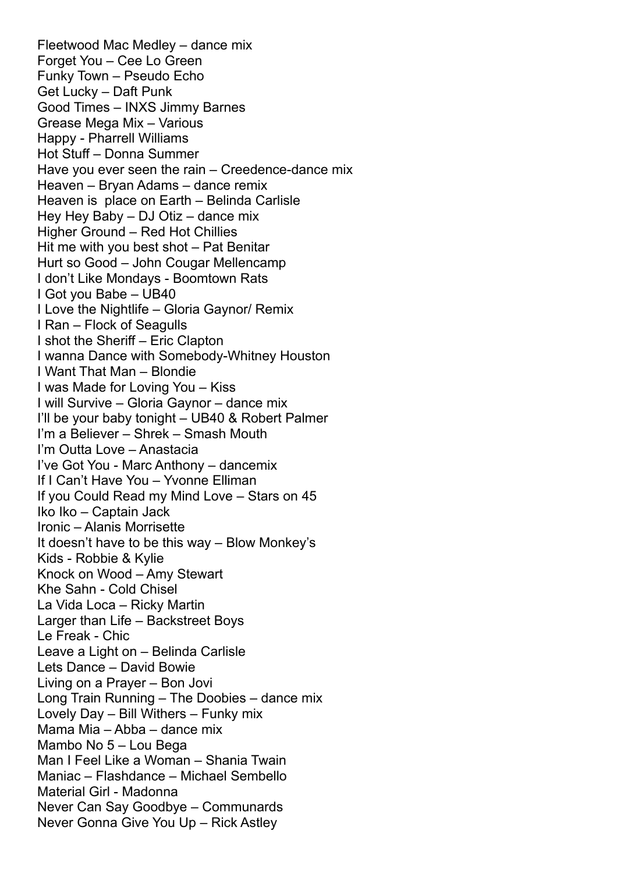Fleetwood Mac Medley – dance mix Forget You – Cee Lo Green Funky Town – Pseudo Echo Get Lucky – Daft Punk Good Times – INXS Jimmy Barnes Grease Mega Mix – Various Happy - Pharrell Williams Hot Stuff – Donna Summer Have you ever seen the rain – Creedence-dance mix Heaven – Bryan Adams – dance remix Heaven is place on Earth – Belinda Carlisle Hey Hey Baby – DJ Otiz – dance mix Higher Ground – Red Hot Chillies Hit me with you best shot – Pat Benitar Hurt so Good – John Cougar Mellencamp I don't Like Mondays - Boomtown Rats I Got you Babe – UB40 I Love the Nightlife – Gloria Gaynor/ Remix I Ran – Flock of Seagulls I shot the Sheriff – Eric Clapton I wanna Dance with Somebody-Whitney Houston I Want That Man – Blondie I was Made for Loving You – Kiss I will Survive – Gloria Gaynor – dance mix I'll be your baby tonight – UB40 & Robert Palmer I'm a Believer – Shrek – Smash Mouth I'm Outta Love – Anastacia I've Got You - Marc Anthony – dancemix If I Can't Have You – Yvonne Elliman If you Could Read my Mind Love – Stars on 45 Iko Iko – Captain Jack Ironic – Alanis Morrisette It doesn't have to be this way – Blow Monkey's Kids - Robbie & Kylie Knock on Wood – Amy Stewart Khe Sahn - Cold Chisel La Vida Loca – Ricky Martin Larger than Life – Backstreet Boys Le Freak - Chic Leave a Light on – Belinda Carlisle Lets Dance – David Bowie Living on a Prayer – Bon Jovi Long Train Running – The Doobies – dance mix Lovely Day – Bill Withers – Funky mix Mama Mia – Abba – dance mix Mambo No 5 – Lou Bega Man I Feel Like a Woman – Shania Twain Maniac – Flashdance – Michael Sembello Material Girl - Madonna Never Can Say Goodbye – Communards Never Gonna Give You Up – Rick Astley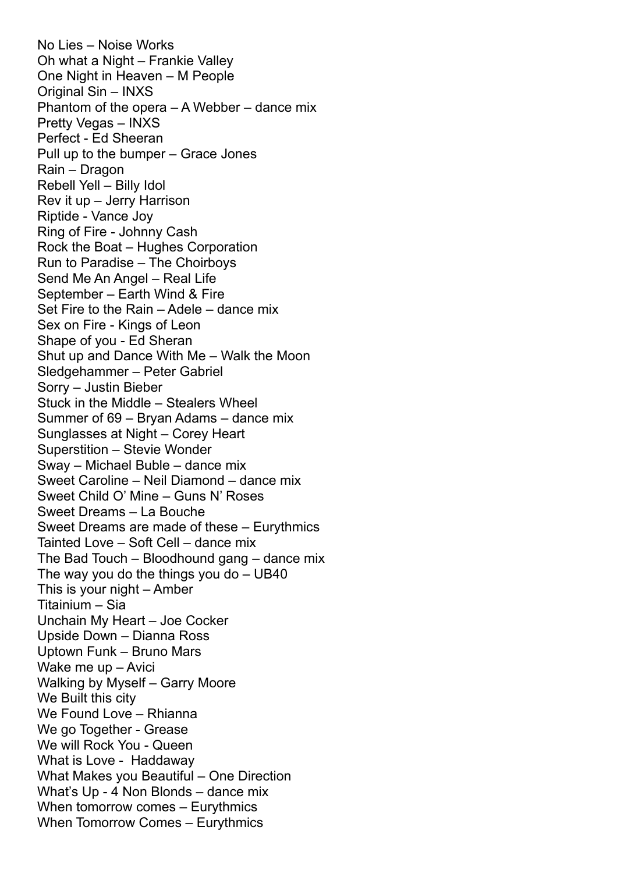No Lies – Noise Works Oh what a Night – Frankie Valley One Night in Heaven – M People Original Sin – INXS Phantom of the opera – A Webber – dance mix Pretty Vegas – INXS Perfect - Ed Sheeran Pull up to the bumper – Grace Jones Rain – Dragon Rebell Yell – Billy Idol Rev it up – Jerry Harrison Riptide - Vance Joy Ring of Fire - Johnny Cash Rock the Boat – Hughes Corporation Run to Paradise – The Choirboys Send Me An Angel – Real Life September – Earth Wind & Fire Set Fire to the Rain – Adele – dance mix Sex on Fire - Kings of Leon Shape of you - Ed Sheran Shut up and Dance With Me – Walk the Moon Sledgehammer – Peter Gabriel Sorry – Justin Bieber Stuck in the Middle – Stealers Wheel Summer of 69 – Bryan Adams – dance mix Sunglasses at Night – Corey Heart Superstition – Stevie Wonder Sway – Michael Buble – dance mix Sweet Caroline – Neil Diamond – dance mix Sweet Child O' Mine – Guns N' Roses Sweet Dreams – La Bouche Sweet Dreams are made of these – Eurythmics Tainted Love – Soft Cell – dance mix The Bad Touch – Bloodhound gang – dance mix The way you do the things you do – UB40 This is your night – Amber Titainium – Sia Unchain My Heart – Joe Cocker Upside Down – Dianna Ross Uptown Funk – Bruno Mars Wake me up – Avici Walking by Myself – Garry Moore We Built this city We Found Love – Rhianna We go Together - Grease We will Rock You - Queen What is Love - Haddaway What Makes you Beautiful – One Direction What's Up - 4 Non Blonds – dance mix When tomorrow comes – Eurythmics When Tomorrow Comes – Eurythmics